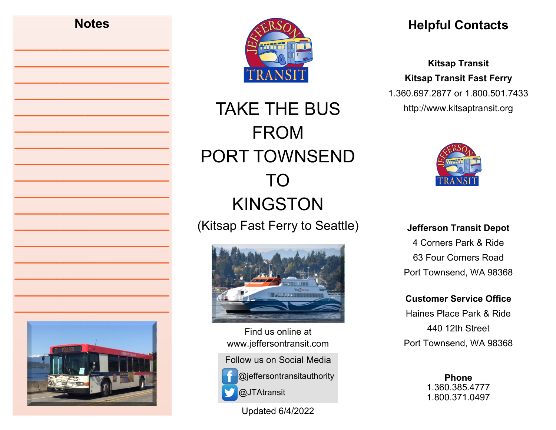# **Notes \_\_\_\_\_\_\_\_\_\_\_\_\_\_\_\_\_\_\_\_\_\_ \_\_\_\_\_\_\_\_\_\_\_\_\_\_\_\_\_\_\_\_\_\_ \_\_\_\_\_\_\_\_\_\_\_\_\_\_\_\_\_\_\_\_\_\_ \_\_\_\_\_\_\_\_\_\_\_\_\_\_\_\_\_\_\_\_\_\_ \_\_\_\_\_\_\_\_\_\_\_\_\_\_\_\_\_\_\_\_\_\_ \_\_\_\_\_\_\_\_\_\_\_\_\_\_\_\_\_\_\_\_\_\_ \_\_\_\_\_\_\_\_\_\_\_\_\_\_\_\_\_\_\_\_\_\_ \_\_\_\_\_\_\_\_\_\_\_\_\_\_\_\_\_\_\_\_\_\_ \_\_\_\_\_\_\_\_\_\_\_\_\_\_\_\_\_\_\_\_\_\_ \_\_\_\_\_\_\_\_\_\_\_\_\_\_\_\_\_\_\_\_\_\_ \_\_\_\_\_\_\_\_\_\_\_\_\_\_\_\_\_\_\_\_\_\_ \_\_\_\_\_\_\_\_\_\_\_\_\_\_\_\_\_\_\_\_\_\_ \_\_\_\_\_\_\_\_\_\_\_\_\_\_\_\_\_\_\_\_\_\_ \_\_\_\_\_\_\_\_\_\_\_\_\_\_\_\_\_\_\_\_\_\_ \_\_\_\_\_\_\_\_\_\_\_\_\_\_\_\_\_\_\_\_\_\_ \_\_\_\_\_\_\_\_\_\_\_\_\_\_\_\_\_\_\_\_\_\_ \_\_\_\_\_\_\_\_\_\_\_\_\_\_\_\_\_\_\_\_\_\_**



TAKE THE BUS FROM PORT TOWNSEND TO KINGSTON (Kitsap Fast Ferry to Seattle)



Find us online at www.jeffersontransit.com

Follow us on Social Media



@jeffersontransitauthority @JTAtransit

Updated 6/4/2022

## **Helpful Contacts**

**Kitsap Transit Kitsap Transit Fast Ferry**  1.360.697.2877 or 1.800.501.7433 http://www.kitsaptransit.org



**Jefferson Transit Depot** 4 Corners Park & Ride 63 Four Corners Road Port Townsend, WA 98368

**Customer Service Office**

Haines Place Park & Ride 440 12th Street Port Townsend, WA 98368

> **Phone**  1.360.385.4777 1.800.371.0497